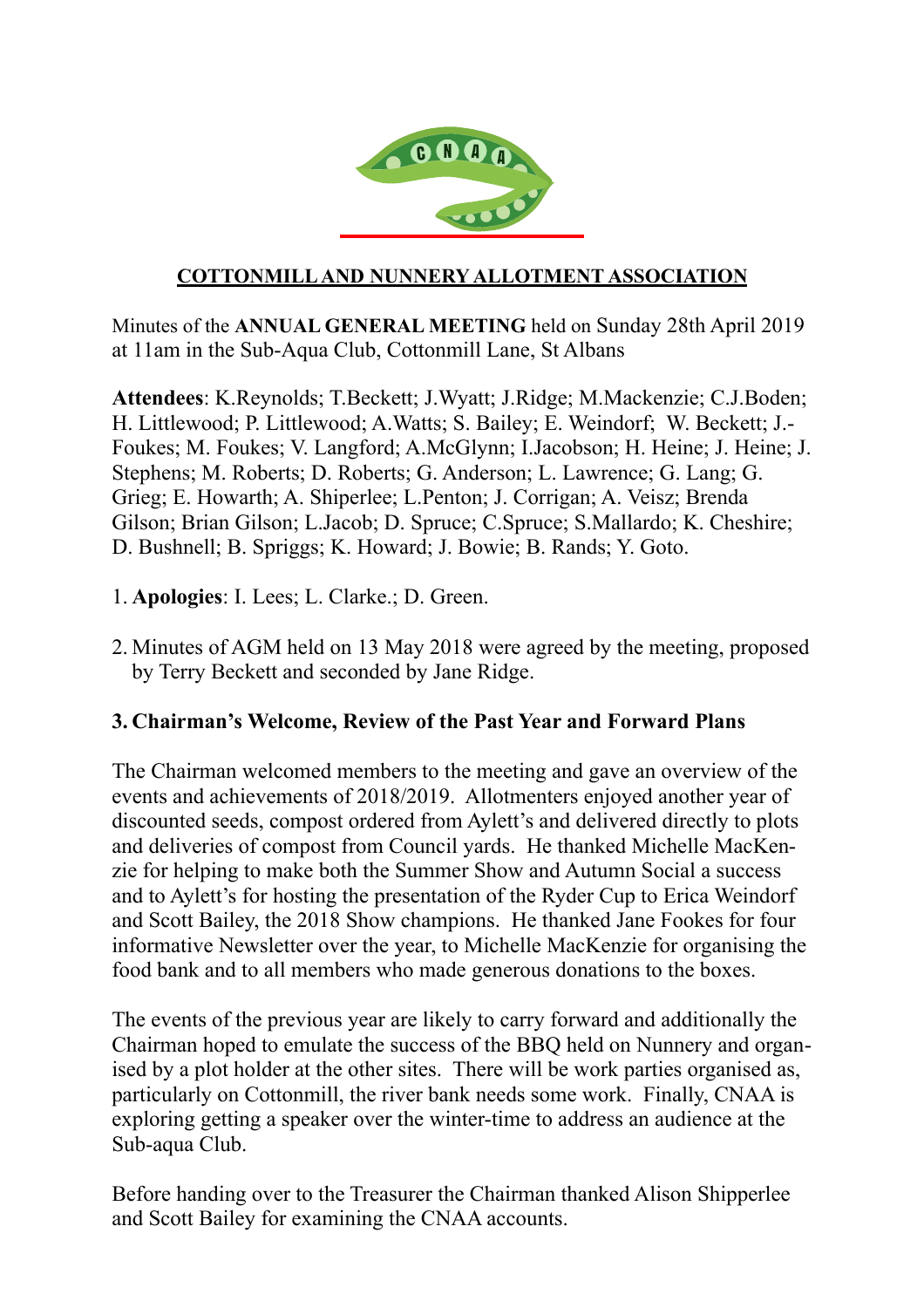

#### **COTTONMILL AND NUNNERY ALLOTMENT ASSOCIATION**

Minutes of the **ANNUAL GENERAL MEETING** held on Sunday 28th April 2019 at 11am in the Sub-Aqua Club, Cottonmill Lane, St Albans

**Attendees**: K.Reynolds; T.Beckett; J.Wyatt; J.Ridge; M.Mackenzie; C.J.Boden; H. Littlewood; P. Littlewood; A.Watts; S. Bailey; E. Weindorf; W. Beckett; J.- Foukes; M. Foukes; V. Langford; A.McGlynn; I.Jacobson; H. Heine; J. Heine; J. Stephens; M. Roberts; D. Roberts; G. Anderson; L. Lawrence; G. Lang; G. Grieg; E. Howarth; A. Shiperlee; L.Penton; J. Corrigan; A. Veisz; Brenda Gilson; Brian Gilson; L.Jacob; D. Spruce; C.Spruce; S.Mallardo; K. Cheshire; D. Bushnell; B. Spriggs; K. Howard; J. Bowie; B. Rands; Y. Goto.

- 1. **Apologies**: I. Lees; L. Clarke.; D. Green.
- 2. Minutes of AGM held on 13 May 2018 were agreed by the meeting, proposed by Terry Beckett and seconded by Jane Ridge.

#### **3. Chairman's Welcome, Review of the Past Year and Forward Plans**

The Chairman welcomed members to the meeting and gave an overview of the events and achievements of 2018/2019. Allotmenters enjoyed another year of discounted seeds, compost ordered from Aylett's and delivered directly to plots and deliveries of compost from Council yards. He thanked Michelle MacKenzie for helping to make both the Summer Show and Autumn Social a success and to Aylett's for hosting the presentation of the Ryder Cup to Erica Weindorf and Scott Bailey, the 2018 Show champions. He thanked Jane Fookes for four informative Newsletter over the year, to Michelle MacKenzie for organising the food bank and to all members who made generous donations to the boxes.

The events of the previous year are likely to carry forward and additionally the Chairman hoped to emulate the success of the BBQ held on Nunnery and organised by a plot holder at the other sites. There will be work parties organised as, particularly on Cottonmill, the river bank needs some work. Finally, CNAA is exploring getting a speaker over the winter-time to address an audience at the Sub-aqua Club.

Before handing over to the Treasurer the Chairman thanked Alison Shipperlee and Scott Bailey for examining the CNAA accounts.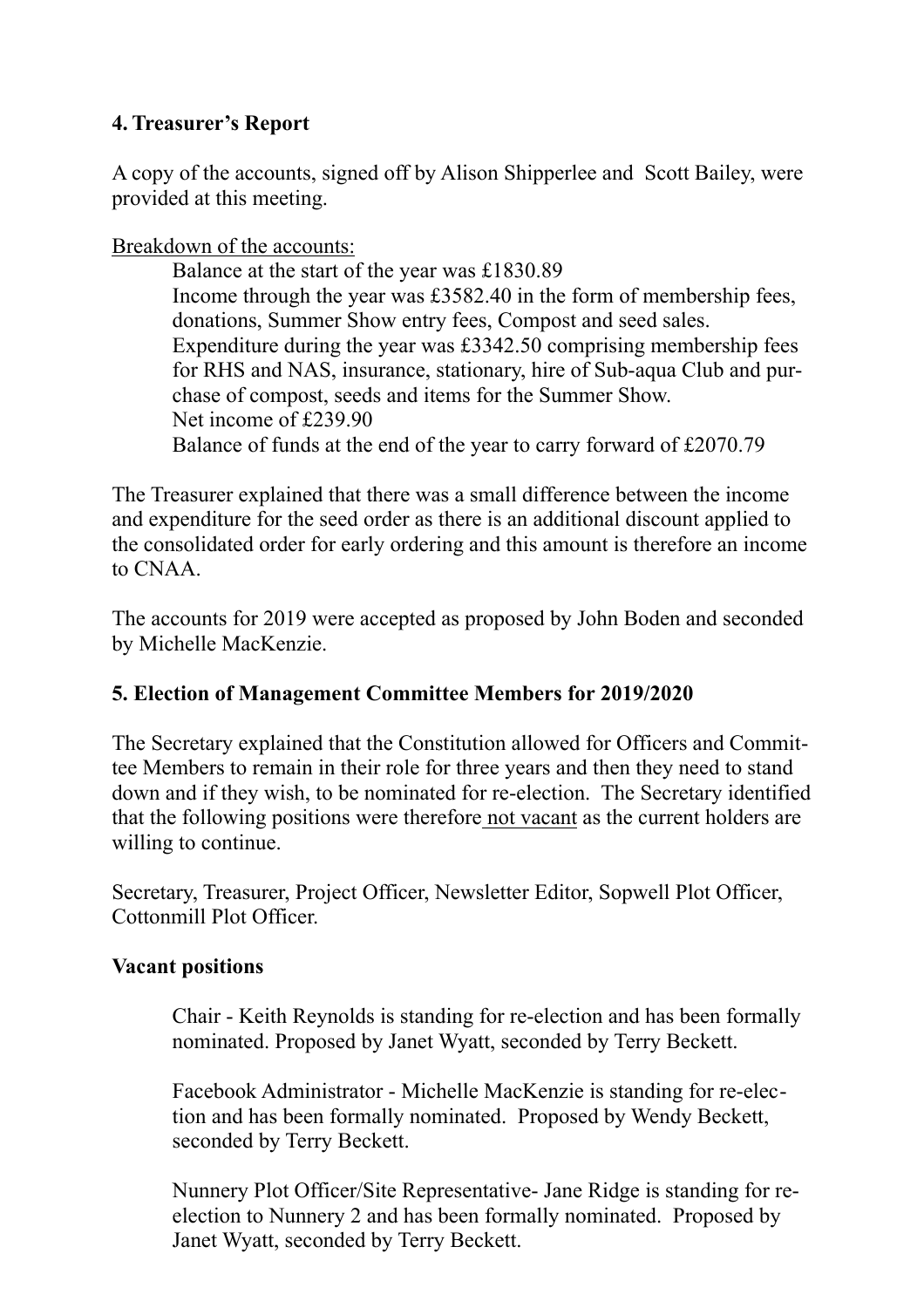# **4. Treasurer's Report**

A copy of the accounts, signed off by Alison Shipperlee and Scott Bailey, were provided at this meeting.

Breakdown of the accounts:

Balance at the start of the year was £1830.89 Income through the year was £3582.40 in the form of membership fees, donations, Summer Show entry fees, Compost and seed sales. Expenditure during the year was £3342.50 comprising membership fees for RHS and NAS, insurance, stationary, hire of Sub-aqua Club and purchase of compost, seeds and items for the Summer Show. Net income of £239.90 Balance of funds at the end of the year to carry forward of £2070.79

The Treasurer explained that there was a small difference between the income and expenditure for the seed order as there is an additional discount applied to the consolidated order for early ordering and this amount is therefore an income to CNAA.

The accounts for 2019 were accepted as proposed by John Boden and seconded by Michelle MacKenzie.

# **5. Election of Management Committee Members for 2019/2020**

The Secretary explained that the Constitution allowed for Officers and Committee Members to remain in their role for three years and then they need to stand down and if they wish, to be nominated for re-election. The Secretary identified that the following positions were therefore not vacant as the current holders are willing to continue.

Secretary, Treasurer, Project Officer, Newsletter Editor, Sopwell Plot Officer, Cottonmill Plot Officer.

# **Vacant positions**

Chair - Keith Reynolds is standing for re-election and has been formally nominated. Proposed by Janet Wyatt, seconded by Terry Beckett.

Facebook Administrator - Michelle MacKenzie is standing for re-election and has been formally nominated. Proposed by Wendy Beckett, seconded by Terry Beckett.

Nunnery Plot Officer/Site Representative- Jane Ridge is standing for reelection to Nunnery 2 and has been formally nominated. Proposed by Janet Wyatt, seconded by Terry Beckett.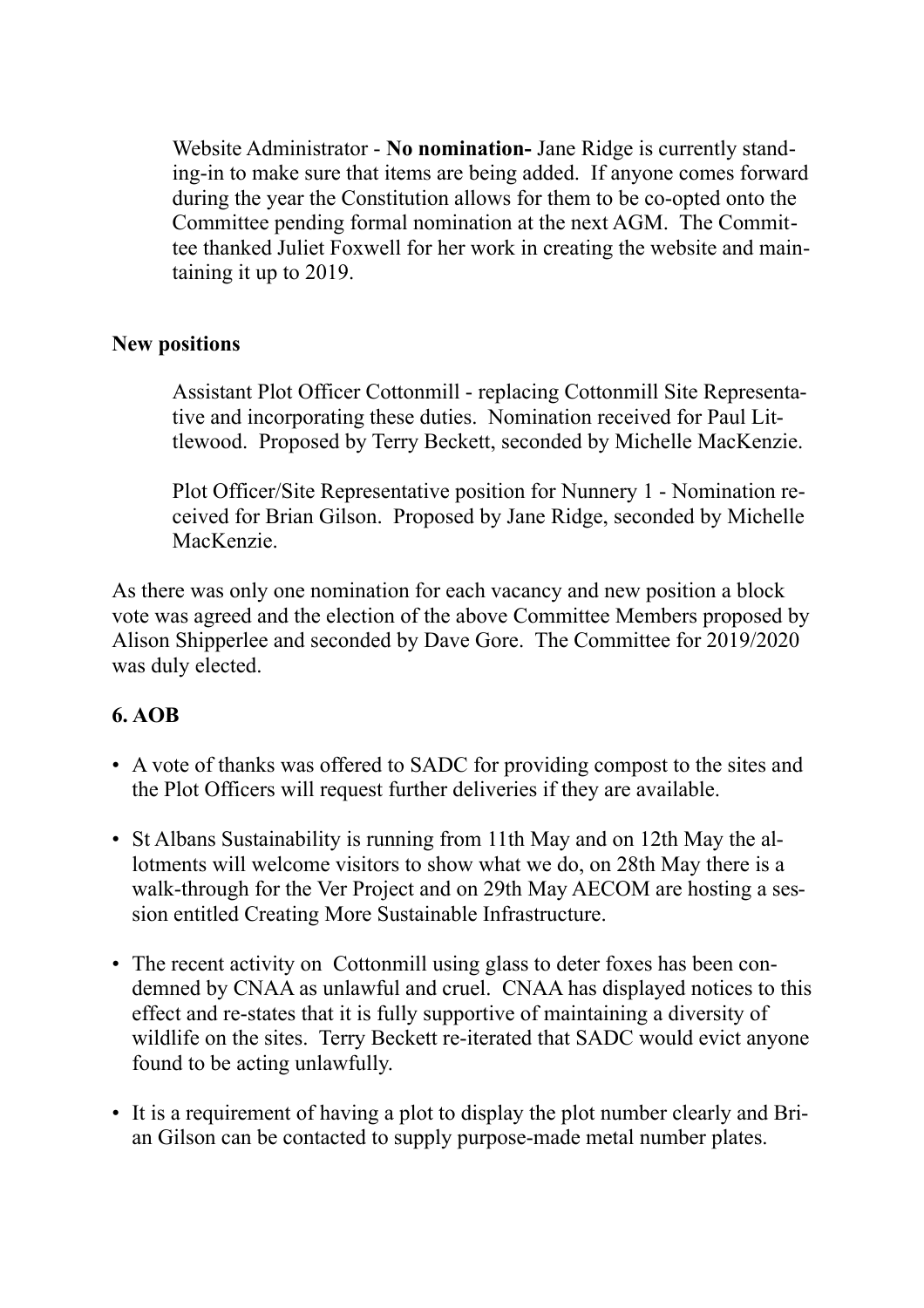Website Administrator - **No nomination-** Jane Ridge is currently standing-in to make sure that items are being added. If anyone comes forward during the year the Constitution allows for them to be co-opted onto the Committee pending formal nomination at the next AGM. The Committee thanked Juliet Foxwell for her work in creating the website and maintaining it up to 2019.

#### **New positions**

Assistant Plot Officer Cottonmill - replacing Cottonmill Site Representative and incorporating these duties. Nomination received for Paul Littlewood. Proposed by Terry Beckett, seconded by Michelle MacKenzie.

Plot Officer/Site Representative position for Nunnery 1 - Nomination received for Brian Gilson. Proposed by Jane Ridge, seconded by Michelle MacKenzie.

As there was only one nomination for each vacancy and new position a block vote was agreed and the election of the above Committee Members proposed by Alison Shipperlee and seconded by Dave Gore. The Committee for 2019/2020 was duly elected.

# **6. AOB**

- A vote of thanks was offered to SADC for providing compost to the sites and the Plot Officers will request further deliveries if they are available.
- St Albans Sustainability is running from 11th May and on 12th May the allotments will welcome visitors to show what we do, on 28th May there is a walk-through for the Ver Project and on 29th May AECOM are hosting a session entitled Creating More Sustainable Infrastructure.
- The recent activity on Cottonmill using glass to deter foxes has been condemned by CNAA as unlawful and cruel. CNAA has displayed notices to this effect and re-states that it is fully supportive of maintaining a diversity of wildlife on the sites. Terry Beckett re-iterated that SADC would evict anyone found to be acting unlawfully.
- It is a requirement of having a plot to display the plot number clearly and Brian Gilson can be contacted to supply purpose-made metal number plates.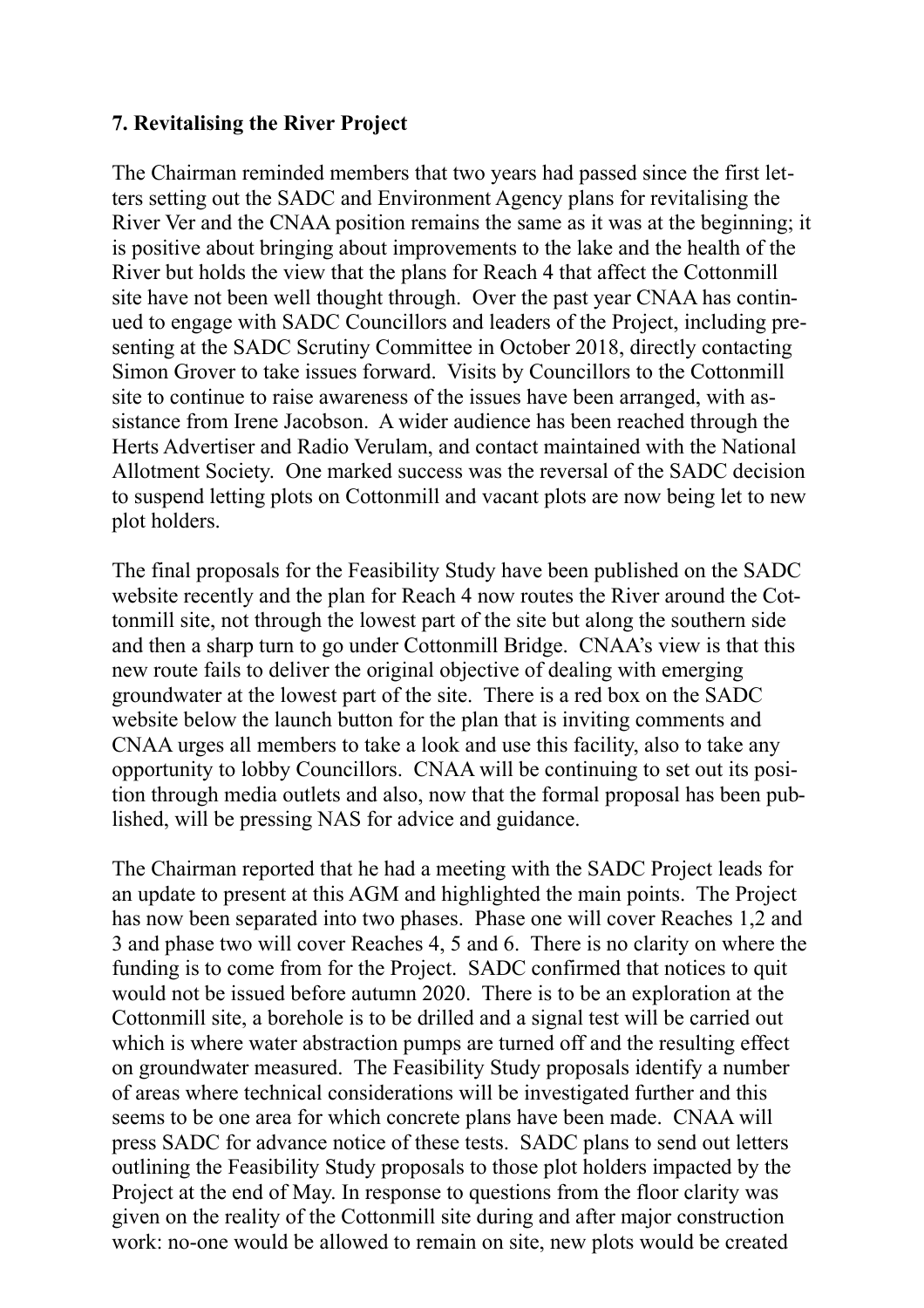#### **7. Revitalising the River Project**

The Chairman reminded members that two years had passed since the first letters setting out the SADC and Environment Agency plans for revitalising the River Ver and the CNAA position remains the same as it was at the beginning; it is positive about bringing about improvements to the lake and the health of the River but holds the view that the plans for Reach 4 that affect the Cottonmill site have not been well thought through. Over the past year CNAA has continued to engage with SADC Councillors and leaders of the Project, including presenting at the SADC Scrutiny Committee in October 2018, directly contacting Simon Grover to take issues forward. Visits by Councillors to the Cottonmill site to continue to raise awareness of the issues have been arranged, with assistance from Irene Jacobson. A wider audience has been reached through the Herts Advertiser and Radio Verulam, and contact maintained with the National Allotment Society. One marked success was the reversal of the SADC decision to suspend letting plots on Cottonmill and vacant plots are now being let to new plot holders.

The final proposals for the Feasibility Study have been published on the SADC website recently and the plan for Reach 4 now routes the River around the Cottonmill site, not through the lowest part of the site but along the southern side and then a sharp turn to go under Cottonmill Bridge. CNAA's view is that this new route fails to deliver the original objective of dealing with emerging groundwater at the lowest part of the site. There is a red box on the SADC website below the launch button for the plan that is inviting comments and CNAA urges all members to take a look and use this facility, also to take any opportunity to lobby Councillors. CNAA will be continuing to set out its position through media outlets and also, now that the formal proposal has been published, will be pressing NAS for advice and guidance.

The Chairman reported that he had a meeting with the SADC Project leads for an update to present at this AGM and highlighted the main points. The Project has now been separated into two phases. Phase one will cover Reaches 1,2 and 3 and phase two will cover Reaches 4, 5 and 6. There is no clarity on where the funding is to come from for the Project. SADC confirmed that notices to quit would not be issued before autumn 2020. There is to be an exploration at the Cottonmill site, a borehole is to be drilled and a signal test will be carried out which is where water abstraction pumps are turned off and the resulting effect on groundwater measured. The Feasibility Study proposals identify a number of areas where technical considerations will be investigated further and this seems to be one area for which concrete plans have been made. CNAA will press SADC for advance notice of these tests. SADC plans to send out letters outlining the Feasibility Study proposals to those plot holders impacted by the Project at the end of May. In response to questions from the floor clarity was given on the reality of the Cottonmill site during and after major construction work: no-one would be allowed to remain on site, new plots would be created